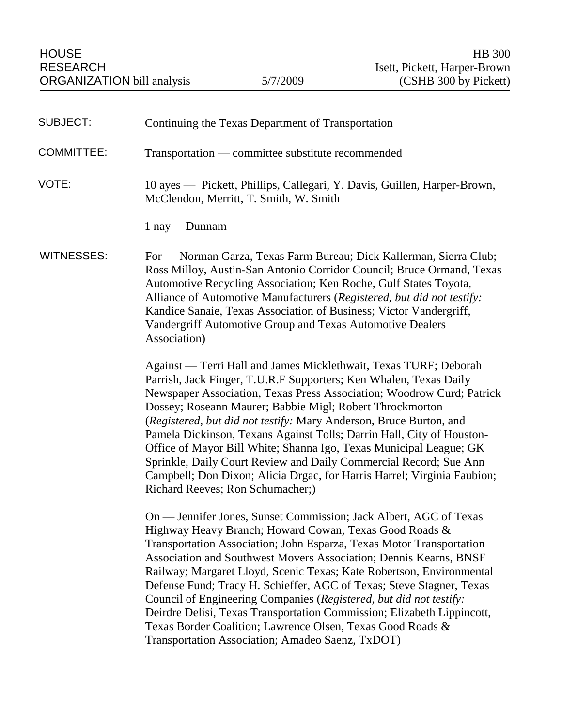| <b>SUBJECT:</b>   | Continuing the Texas Department of Transportation                                                                                                                                                                                                                                                                                                                                                                                                                                                                                                                                                                                                                                          |
|-------------------|--------------------------------------------------------------------------------------------------------------------------------------------------------------------------------------------------------------------------------------------------------------------------------------------------------------------------------------------------------------------------------------------------------------------------------------------------------------------------------------------------------------------------------------------------------------------------------------------------------------------------------------------------------------------------------------------|
| <b>COMMITTEE:</b> | Transportation — committee substitute recommended                                                                                                                                                                                                                                                                                                                                                                                                                                                                                                                                                                                                                                          |
| VOTE:             | 10 ayes — Pickett, Phillips, Callegari, Y. Davis, Guillen, Harper-Brown,<br>McClendon, Merritt, T. Smith, W. Smith                                                                                                                                                                                                                                                                                                                                                                                                                                                                                                                                                                         |
|                   | 1 nay—Dunnam                                                                                                                                                                                                                                                                                                                                                                                                                                                                                                                                                                                                                                                                               |
| <b>WITNESSES:</b> | For — Norman Garza, Texas Farm Bureau; Dick Kallerman, Sierra Club;<br>Ross Milloy, Austin-San Antonio Corridor Council; Bruce Ormand, Texas<br>Automotive Recycling Association; Ken Roche, Gulf States Toyota,<br>Alliance of Automotive Manufacturers (Registered, but did not testify:<br>Kandice Sanaie, Texas Association of Business; Victor Vandergriff,<br>Vandergriff Automotive Group and Texas Automotive Dealers<br>Association)                                                                                                                                                                                                                                              |
|                   | Against — Terri Hall and James Micklethwait, Texas TURF; Deborah<br>Parrish, Jack Finger, T.U.R.F Supporters; Ken Whalen, Texas Daily<br>Newspaper Association, Texas Press Association; Woodrow Curd; Patrick<br>Dossey; Roseann Maurer; Babbie Migl; Robert Throckmorton<br>(Registered, but did not testify: Mary Anderson, Bruce Burton, and<br>Pamela Dickinson, Texans Against Tolls; Darrin Hall, City of Houston-<br>Office of Mayor Bill White; Shanna Igo, Texas Municipal League; GK<br>Sprinkle, Daily Court Review and Daily Commercial Record; Sue Ann<br>Campbell; Don Dixon; Alicia Drgac, for Harris Harrel; Virginia Faubion;<br>Richard Reeves; Ron Schumacher;)        |
|                   | On — Jennifer Jones, Sunset Commission; Jack Albert, AGC of Texas<br>Highway Heavy Branch; Howard Cowan, Texas Good Roads &<br>Transportation Association; John Esparza, Texas Motor Transportation<br>Association and Southwest Movers Association; Dennis Kearns, BNSF<br>Railway; Margaret Lloyd, Scenic Texas; Kate Robertson, Environmental<br>Defense Fund; Tracy H. Schieffer, AGC of Texas; Steve Stagner, Texas<br>Council of Engineering Companies (Registered, but did not testify:<br>Deirdre Delisi, Texas Transportation Commission; Elizabeth Lippincott,<br>Texas Border Coalition; Lawrence Olsen, Texas Good Roads &<br>Transportation Association; Amadeo Saenz, TxDOT) |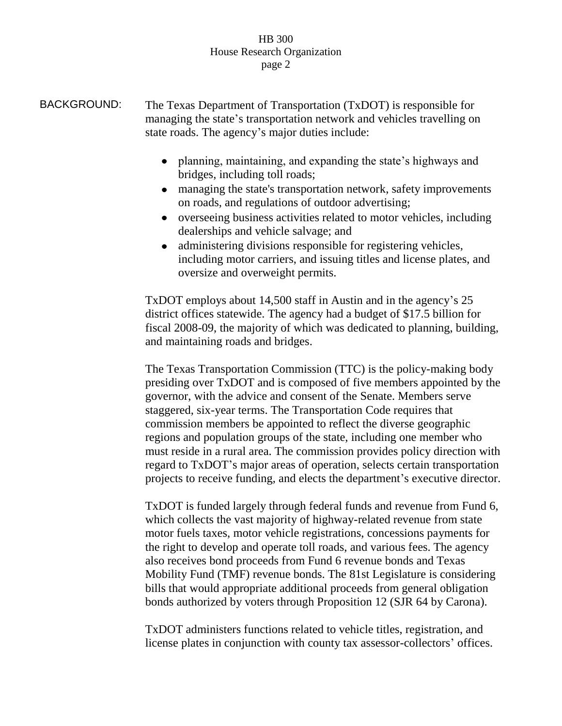BACKGROUND: The Texas Department of Transportation (TxDOT) is responsible for managing the state's transportation network and vehicles travelling on state roads. The agency's major duties include:

- planning, maintaining, and expanding the state's highways and bridges, including toll roads;
- managing the state's transportation network, safety improvements on roads, and regulations of outdoor advertising;
- overseeing business activities related to motor vehicles, including dealerships and vehicle salvage; and
- administering divisions responsible for registering vehicles,  $\bullet$ including motor carriers, and issuing titles and license plates, and oversize and overweight permits.

TxDOT employs about 14,500 staff in Austin and in the agency's 25 district offices statewide. The agency had a budget of \$17.5 billion for fiscal 2008-09, the majority of which was dedicated to planning, building, and maintaining roads and bridges.

The Texas Transportation Commission (TTC) is the policy-making body presiding over TxDOT and is composed of five members appointed by the governor, with the advice and consent of the Senate. Members serve staggered, six-year terms. The Transportation Code requires that commission members be appointed to reflect the diverse geographic regions and population groups of the state, including one member who must reside in a rural area. The commission provides policy direction with regard to TxDOT's major areas of operation, selects certain transportation projects to receive funding, and elects the department's executive director.

TxDOT is funded largely through federal funds and revenue from Fund 6, which collects the vast majority of highway-related revenue from state motor fuels taxes, motor vehicle registrations, concessions payments for the right to develop and operate toll roads, and various fees. The agency also receives bond proceeds from Fund 6 revenue bonds and Texas Mobility Fund (TMF) revenue bonds. The 81st Legislature is considering bills that would appropriate additional proceeds from general obligation bonds authorized by voters through Proposition 12 (SJR 64 by Carona).

TxDOT administers functions related to vehicle titles, registration, and license plates in conjunction with county tax assessor-collectors' offices.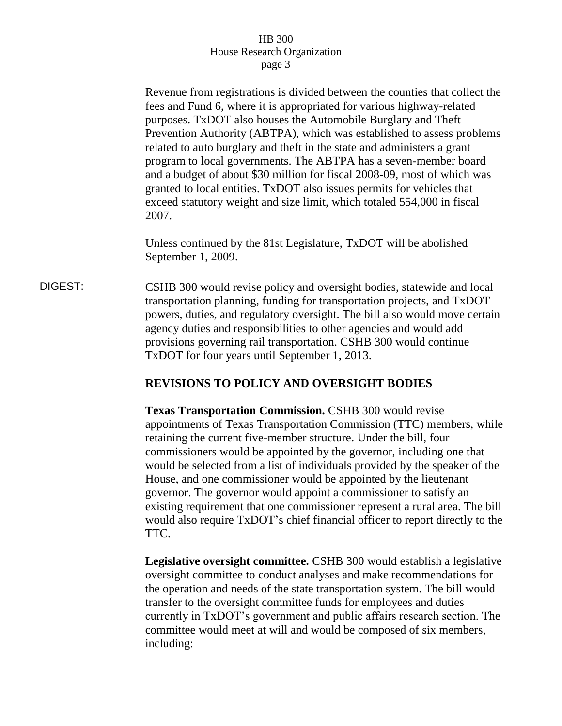Revenue from registrations is divided between the counties that collect the fees and Fund 6, where it is appropriated for various highway-related purposes. TxDOT also houses the Automobile Burglary and Theft Prevention Authority (ABTPA), which was established to assess problems related to auto burglary and theft in the state and administers a grant program to local governments. The ABTPA has a seven-member board and a budget of about \$30 million for fiscal 2008-09, most of which was granted to local entities. TxDOT also issues permits for vehicles that exceed statutory weight and size limit, which totaled 554,000 in fiscal 2007.

Unless continued by the 81st Legislature, TxDOT will be abolished September 1, 2009.

DIGEST: CSHB 300 would revise policy and oversight bodies, statewide and local transportation planning, funding for transportation projects, and TxDOT powers, duties, and regulatory oversight. The bill also would move certain agency duties and responsibilities to other agencies and would add provisions governing rail transportation. CSHB 300 would continue TxDOT for four years until September 1, 2013.

## **REVISIONS TO POLICY AND OVERSIGHT BODIES**

**Texas Transportation Commission.** CSHB 300 would revise appointments of Texas Transportation Commission (TTC) members, while retaining the current five-member structure. Under the bill, four commissioners would be appointed by the governor, including one that would be selected from a list of individuals provided by the speaker of the House, and one commissioner would be appointed by the lieutenant governor. The governor would appoint a commissioner to satisfy an existing requirement that one commissioner represent a rural area. The bill would also require TxDOT's chief financial officer to report directly to the TTC.

**Legislative oversight committee.** CSHB 300 would establish a legislative oversight committee to conduct analyses and make recommendations for the operation and needs of the state transportation system. The bill would transfer to the oversight committee funds for employees and duties currently in TxDOT's government and public affairs research section. The committee would meet at will and would be composed of six members, including: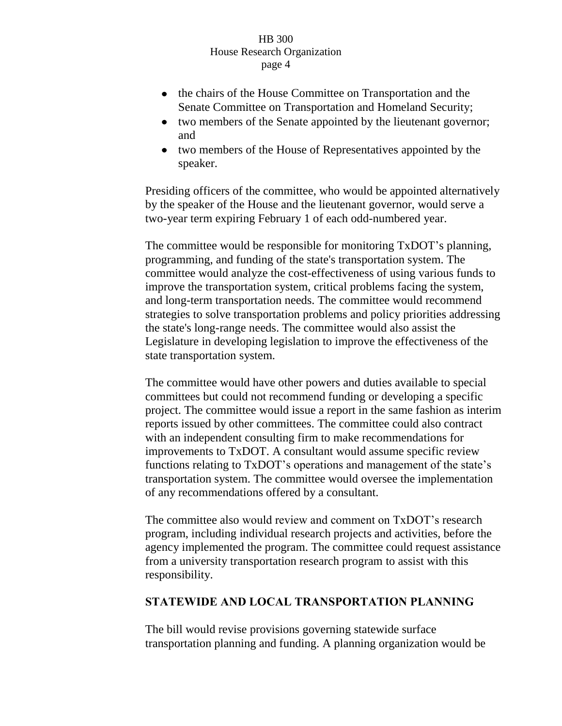- the chairs of the House Committee on Transportation and the Senate Committee on Transportation and Homeland Security;
- two members of the Senate appointed by the lieutenant governor;  $\bullet$ and
- two members of the House of Representatives appointed by the speaker.

Presiding officers of the committee, who would be appointed alternatively by the speaker of the House and the lieutenant governor, would serve a two-year term expiring February 1 of each odd-numbered year.

The committee would be responsible for monitoring TxDOT's planning, programming, and funding of the state's transportation system. The committee would analyze the cost-effectiveness of using various funds to improve the transportation system, critical problems facing the system, and long-term transportation needs. The committee would recommend strategies to solve transportation problems and policy priorities addressing the state's long-range needs. The committee would also assist the Legislature in developing legislation to improve the effectiveness of the state transportation system.

The committee would have other powers and duties available to special committees but could not recommend funding or developing a specific project. The committee would issue a report in the same fashion as interim reports issued by other committees. The committee could also contract with an independent consulting firm to make recommendations for improvements to TxDOT. A consultant would assume specific review functions relating to TxDOT's operations and management of the state's transportation system. The committee would oversee the implementation of any recommendations offered by a consultant.

The committee also would review and comment on TxDOT's research program, including individual research projects and activities, before the agency implemented the program. The committee could request assistance from a university transportation research program to assist with this responsibility.

## **STATEWIDE AND LOCAL TRANSPORTATION PLANNING**

The bill would revise provisions governing statewide surface transportation planning and funding. A planning organization would be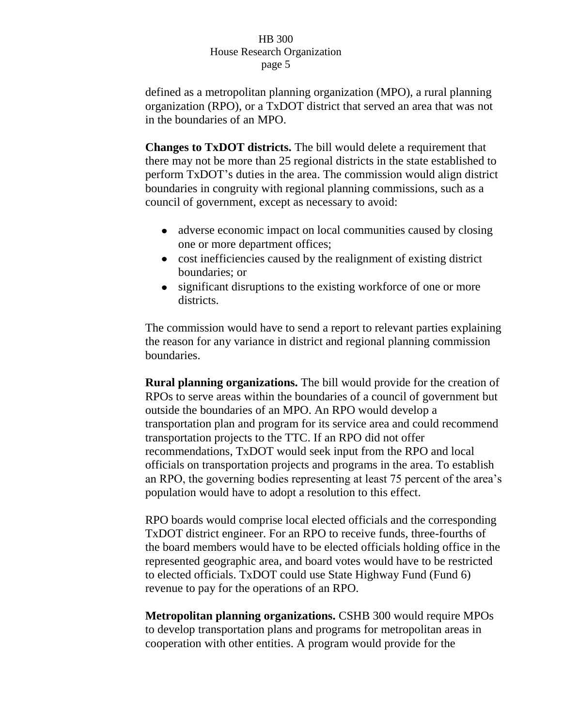defined as a metropolitan planning organization (MPO), a rural planning organization (RPO), or a TxDOT district that served an area that was not in the boundaries of an MPO.

**Changes to TxDOT districts.** The bill would delete a requirement that there may not be more than 25 regional districts in the state established to perform TxDOT's duties in the area. The commission would align district boundaries in congruity with regional planning commissions, such as a council of government, except as necessary to avoid:

- adverse economic impact on local communities caused by closing one or more department offices;
- cost inefficiencies caused by the realignment of existing district boundaries; or
- significant disruptions to the existing workforce of one or more districts.

The commission would have to send a report to relevant parties explaining the reason for any variance in district and regional planning commission boundaries.

**Rural planning organizations.** The bill would provide for the creation of RPOs to serve areas within the boundaries of a council of government but outside the boundaries of an MPO. An RPO would develop a transportation plan and program for its service area and could recommend transportation projects to the TTC. If an RPO did not offer recommendations, TxDOT would seek input from the RPO and local officials on transportation projects and programs in the area. To establish an RPO, the governing bodies representing at least 75 percent of the area's population would have to adopt a resolution to this effect.

RPO boards would comprise local elected officials and the corresponding TxDOT district engineer. For an RPO to receive funds, three-fourths of the board members would have to be elected officials holding office in the represented geographic area, and board votes would have to be restricted to elected officials. TxDOT could use State Highway Fund (Fund 6) revenue to pay for the operations of an RPO.

**Metropolitan planning organizations.** CSHB 300 would require MPOs to develop transportation plans and programs for metropolitan areas in cooperation with other entities. A program would provide for the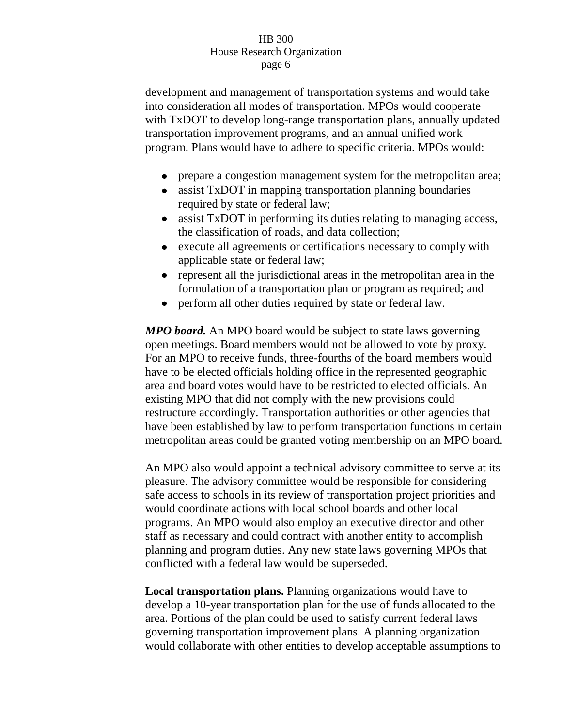development and management of transportation systems and would take into consideration all modes of transportation. MPOs would cooperate with TxDOT to develop long-range transportation plans, annually updated transportation improvement programs, and an annual unified work program. Plans would have to adhere to specific criteria. MPOs would:

- prepare a congestion management system for the metropolitan area;
- assist TxDOT in mapping transportation planning boundaries  $\bullet$ required by state or federal law;
- assist TxDOT in performing its duties relating to managing access,  $\bullet$ the classification of roads, and data collection;
- execute all agreements or certifications necessary to comply with  $\bullet$ applicable state or federal law;
- represent all the jurisdictional areas in the metropolitan area in the formulation of a transportation plan or program as required; and
- perform all other duties required by state or federal law.  $\bullet$

*MPO board.* An MPO board would be subject to state laws governing open meetings. Board members would not be allowed to vote by proxy. For an MPO to receive funds, three-fourths of the board members would have to be elected officials holding office in the represented geographic area and board votes would have to be restricted to elected officials. An existing MPO that did not comply with the new provisions could restructure accordingly. Transportation authorities or other agencies that have been established by law to perform transportation functions in certain metropolitan areas could be granted voting membership on an MPO board.

An MPO also would appoint a technical advisory committee to serve at its pleasure. The advisory committee would be responsible for considering safe access to schools in its review of transportation project priorities and would coordinate actions with local school boards and other local programs. An MPO would also employ an executive director and other staff as necessary and could contract with another entity to accomplish planning and program duties. Any new state laws governing MPOs that conflicted with a federal law would be superseded.

**Local transportation plans.** Planning organizations would have to develop a 10-year transportation plan for the use of funds allocated to the area. Portions of the plan could be used to satisfy current federal laws governing transportation improvement plans. A planning organization would collaborate with other entities to develop acceptable assumptions to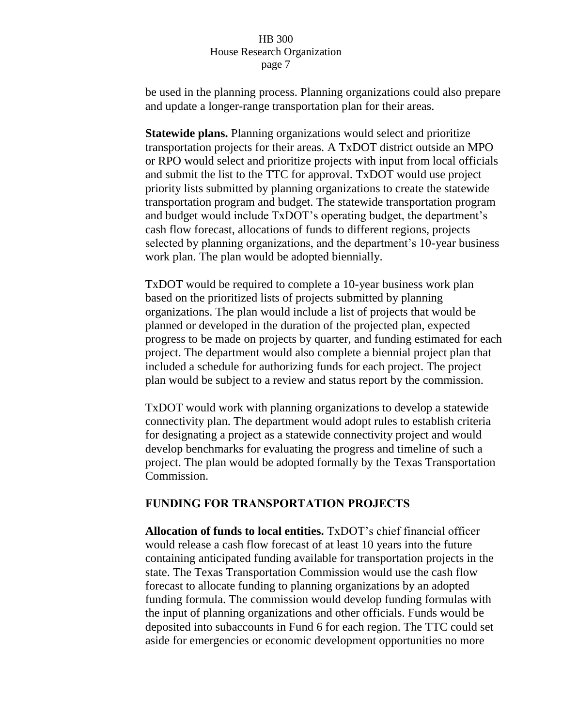be used in the planning process. Planning organizations could also prepare and update a longer-range transportation plan for their areas.

**Statewide plans.** Planning organizations would select and prioritize transportation projects for their areas. A TxDOT district outside an MPO or RPO would select and prioritize projects with input from local officials and submit the list to the TTC for approval. TxDOT would use project priority lists submitted by planning organizations to create the statewide transportation program and budget. The statewide transportation program and budget would include TxDOT's operating budget, the department's cash flow forecast, allocations of funds to different regions, projects selected by planning organizations, and the department's 10-year business work plan. The plan would be adopted biennially.

TxDOT would be required to complete a 10-year business work plan based on the prioritized lists of projects submitted by planning organizations. The plan would include a list of projects that would be planned or developed in the duration of the projected plan, expected progress to be made on projects by quarter, and funding estimated for each project. The department would also complete a biennial project plan that included a schedule for authorizing funds for each project. The project plan would be subject to a review and status report by the commission.

TxDOT would work with planning organizations to develop a statewide connectivity plan. The department would adopt rules to establish criteria for designating a project as a statewide connectivity project and would develop benchmarks for evaluating the progress and timeline of such a project. The plan would be adopted formally by the Texas Transportation Commission.

## **FUNDING FOR TRANSPORTATION PROJECTS**

**Allocation of funds to local entities.** TxDOT's chief financial officer would release a cash flow forecast of at least 10 years into the future containing anticipated funding available for transportation projects in the state. The Texas Transportation Commission would use the cash flow forecast to allocate funding to planning organizations by an adopted funding formula. The commission would develop funding formulas with the input of planning organizations and other officials. Funds would be deposited into subaccounts in Fund 6 for each region. The TTC could set aside for emergencies or economic development opportunities no more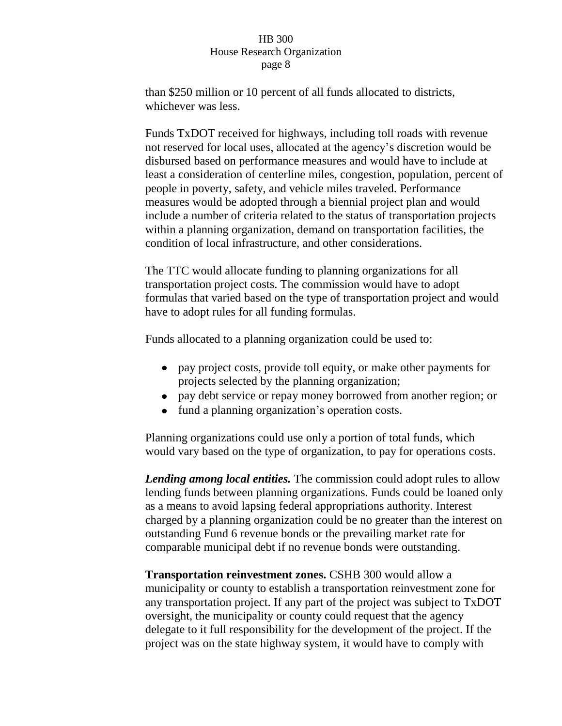than \$250 million or 10 percent of all funds allocated to districts, whichever was less.

Funds TxDOT received for highways, including toll roads with revenue not reserved for local uses, allocated at the agency's discretion would be disbursed based on performance measures and would have to include at least a consideration of centerline miles, congestion, population, percent of people in poverty, safety, and vehicle miles traveled. Performance measures would be adopted through a biennial project plan and would include a number of criteria related to the status of transportation projects within a planning organization, demand on transportation facilities, the condition of local infrastructure, and other considerations.

The TTC would allocate funding to planning organizations for all transportation project costs. The commission would have to adopt formulas that varied based on the type of transportation project and would have to adopt rules for all funding formulas.

Funds allocated to a planning organization could be used to:

- pay project costs, provide toll equity, or make other payments for projects selected by the planning organization;
- pay debt service or repay money borrowed from another region; or
- fund a planning organization's operation costs.

Planning organizations could use only a portion of total funds, which would vary based on the type of organization, to pay for operations costs.

*Lending among local entities.* The commission could adopt rules to allow lending funds between planning organizations. Funds could be loaned only as a means to avoid lapsing federal appropriations authority. Interest charged by a planning organization could be no greater than the interest on outstanding Fund 6 revenue bonds or the prevailing market rate for comparable municipal debt if no revenue bonds were outstanding.

**Transportation reinvestment zones.** CSHB 300 would allow a municipality or county to establish a transportation reinvestment zone for any transportation project. If any part of the project was subject to TxDOT oversight, the municipality or county could request that the agency delegate to it full responsibility for the development of the project. If the project was on the state highway system, it would have to comply with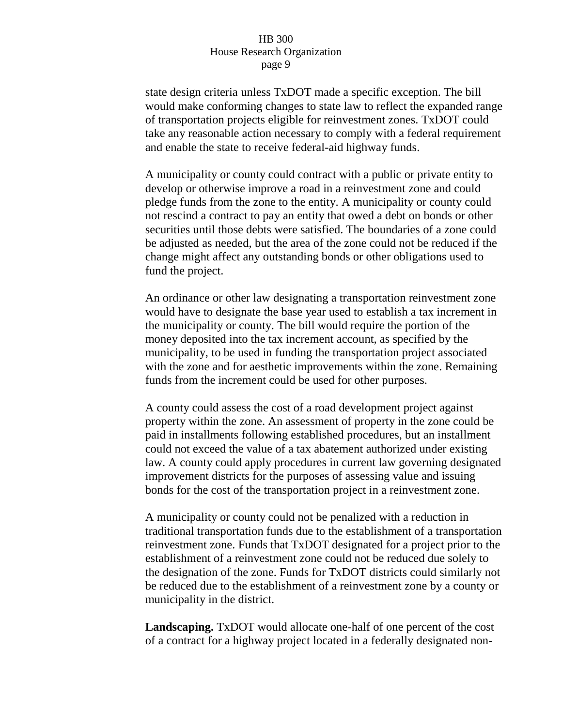state design criteria unless TxDOT made a specific exception. The bill would make conforming changes to state law to reflect the expanded range of transportation projects eligible for reinvestment zones. TxDOT could take any reasonable action necessary to comply with a federal requirement and enable the state to receive federal-aid highway funds.

A municipality or county could contract with a public or private entity to develop or otherwise improve a road in a reinvestment zone and could pledge funds from the zone to the entity. A municipality or county could not rescind a contract to pay an entity that owed a debt on bonds or other securities until those debts were satisfied. The boundaries of a zone could be adjusted as needed, but the area of the zone could not be reduced if the change might affect any outstanding bonds or other obligations used to fund the project.

An ordinance or other law designating a transportation reinvestment zone would have to designate the base year used to establish a tax increment in the municipality or county. The bill would require the portion of the money deposited into the tax increment account, as specified by the municipality, to be used in funding the transportation project associated with the zone and for aesthetic improvements within the zone. Remaining funds from the increment could be used for other purposes.

A county could assess the cost of a road development project against property within the zone. An assessment of property in the zone could be paid in installments following established procedures, but an installment could not exceed the value of a tax abatement authorized under existing law. A county could apply procedures in current law governing designated improvement districts for the purposes of assessing value and issuing bonds for the cost of the transportation project in a reinvestment zone.

A municipality or county could not be penalized with a reduction in traditional transportation funds due to the establishment of a transportation reinvestment zone. Funds that TxDOT designated for a project prior to the establishment of a reinvestment zone could not be reduced due solely to the designation of the zone. Funds for TxDOT districts could similarly not be reduced due to the establishment of a reinvestment zone by a county or municipality in the district.

**Landscaping.** TxDOT would allocate one-half of one percent of the cost of a contract for a highway project located in a federally designated non-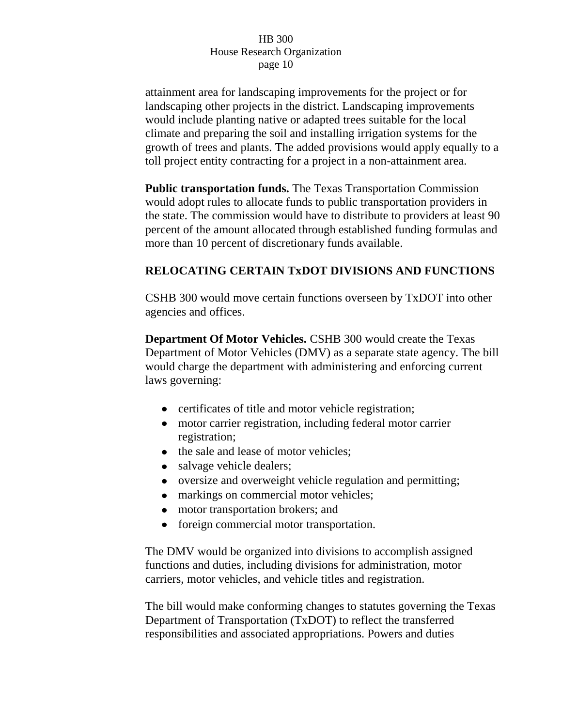attainment area for landscaping improvements for the project or for landscaping other projects in the district. Landscaping improvements would include planting native or adapted trees suitable for the local climate and preparing the soil and installing irrigation systems for the growth of trees and plants. The added provisions would apply equally to a toll project entity contracting for a project in a non-attainment area.

**Public transportation funds.** The Texas Transportation Commission would adopt rules to allocate funds to public transportation providers in the state. The commission would have to distribute to providers at least 90 percent of the amount allocated through established funding formulas and more than 10 percent of discretionary funds available.

# **RELOCATING CERTAIN TxDOT DIVISIONS AND FUNCTIONS**

CSHB 300 would move certain functions overseen by TxDOT into other agencies and offices.

**Department Of Motor Vehicles.** CSHB 300 would create the Texas Department of Motor Vehicles (DMV) as a separate state agency. The bill would charge the department with administering and enforcing current laws governing:

- certificates of title and motor vehicle registration;
- motor carrier registration, including federal motor carrier registration;
- the sale and lease of motor vehicles;
- salvage vehicle dealers;
- oversize and overweight vehicle regulation and permitting;
- markings on commercial motor vehicles;
- motor transportation brokers; and
- foreign commercial motor transportation.

The DMV would be organized into divisions to accomplish assigned functions and duties, including divisions for administration, motor carriers, motor vehicles, and vehicle titles and registration.

The bill would make conforming changes to statutes governing the Texas Department of Transportation (TxDOT) to reflect the transferred responsibilities and associated appropriations. Powers and duties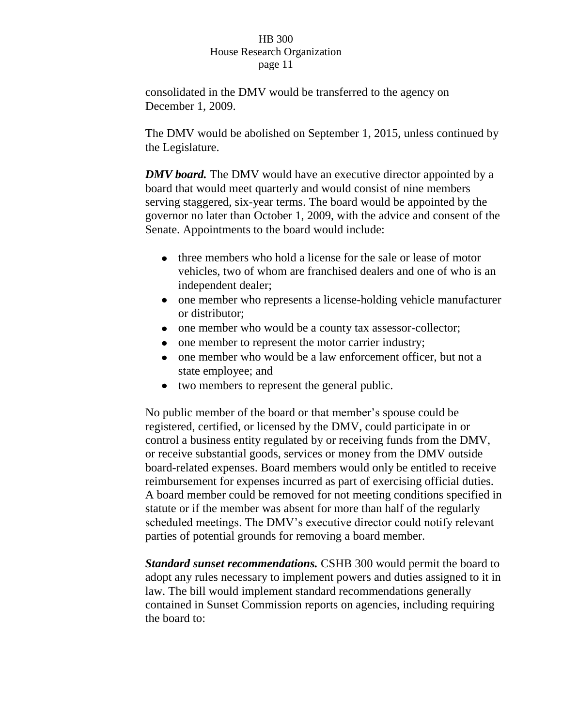consolidated in the DMV would be transferred to the agency on December 1, 2009.

The DMV would be abolished on September 1, 2015, unless continued by the Legislature.

*DMV board.* The DMV would have an executive director appointed by a board that would meet quarterly and would consist of nine members serving staggered, six-year terms. The board would be appointed by the governor no later than October 1, 2009, with the advice and consent of the Senate. Appointments to the board would include:

- three members who hold a license for the sale or lease of motor vehicles, two of whom are franchised dealers and one of who is an independent dealer;
- one member who represents a license-holding vehicle manufacturer or distributor;
- one member who would be a county tax assessor-collector;
- one member to represent the motor carrier industry;
- one member who would be a law enforcement officer, but not a state employee; and
- two members to represent the general public.

No public member of the board or that member's spouse could be registered, certified, or licensed by the DMV, could participate in or control a business entity regulated by or receiving funds from the DMV, or receive substantial goods, services or money from the DMV outside board-related expenses. Board members would only be entitled to receive reimbursement for expenses incurred as part of exercising official duties. A board member could be removed for not meeting conditions specified in statute or if the member was absent for more than half of the regularly scheduled meetings. The DMV's executive director could notify relevant parties of potential grounds for removing a board member.

*Standard sunset recommendations.* CSHB 300 would permit the board to adopt any rules necessary to implement powers and duties assigned to it in law. The bill would implement standard recommendations generally contained in Sunset Commission reports on agencies, including requiring the board to: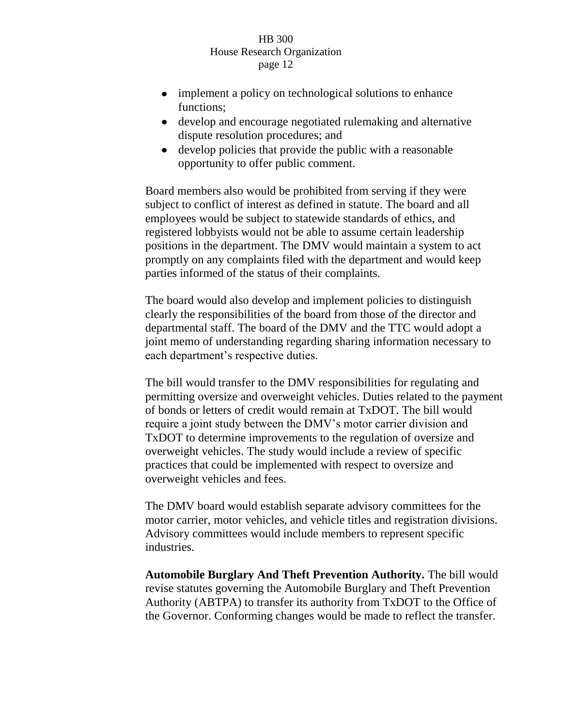- implement a policy on technological solutions to enhance functions;
- develop and encourage negotiated rulemaking and alternative dispute resolution procedures; and
- develop policies that provide the public with a reasonable opportunity to offer public comment.

Board members also would be prohibited from serving if they were subject to conflict of interest as defined in statute. The board and all employees would be subject to statewide standards of ethics, and registered lobbyists would not be able to assume certain leadership positions in the department. The DMV would maintain a system to act promptly on any complaints filed with the department and would keep parties informed of the status of their complaints.

The board would also develop and implement policies to distinguish clearly the responsibilities of the board from those of the director and departmental staff. The board of the DMV and the TTC would adopt a joint memo of understanding regarding sharing information necessary to each department's respective duties.

The bill would transfer to the DMV responsibilities for regulating and permitting oversize and overweight vehicles. Duties related to the payment of bonds or letters of credit would remain at TxDOT. The bill would require a joint study between the DMV's motor carrier division and TxDOT to determine improvements to the regulation of oversize and overweight vehicles. The study would include a review of specific practices that could be implemented with respect to oversize and overweight vehicles and fees.

The DMV board would establish separate advisory committees for the motor carrier, motor vehicles, and vehicle titles and registration divisions. Advisory committees would include members to represent specific industries.

**Automobile Burglary And Theft Prevention Authority.** The bill would revise statutes governing the Automobile Burglary and Theft Prevention Authority (ABTPA) to transfer its authority from TxDOT to the Office of the Governor. Conforming changes would be made to reflect the transfer.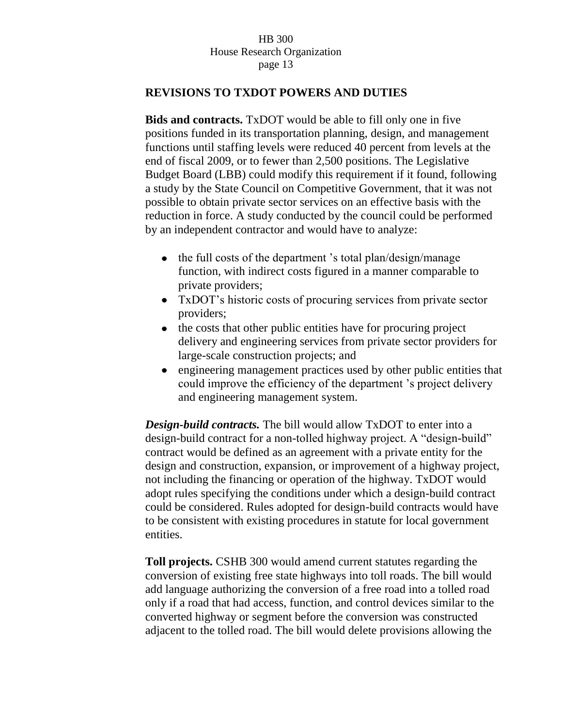## **REVISIONS TO TXDOT POWERS AND DUTIES**

**Bids and contracts.** TxDOT would be able to fill only one in five positions funded in its transportation planning, design, and management functions until staffing levels were reduced 40 percent from levels at the end of fiscal 2009, or to fewer than 2,500 positions. The Legislative Budget Board (LBB) could modify this requirement if it found, following a study by the State Council on Competitive Government, that it was not possible to obtain private sector services on an effective basis with the reduction in force. A study conducted by the council could be performed by an independent contractor and would have to analyze:

- the full costs of the department 's total plan/design/manage function, with indirect costs figured in a manner comparable to private providers;
- TxDOT's historic costs of procuring services from private sector providers;
- the costs that other public entities have for procuring project delivery and engineering services from private sector providers for large-scale construction projects; and
- engineering management practices used by other public entities that could improve the efficiency of the department 's project delivery and engineering management system.

*Design-build contracts.* The bill would allow TxDOT to enter into a design-build contract for a non-tolled highway project. A "design-build" contract would be defined as an agreement with a private entity for the design and construction, expansion, or improvement of a highway project, not including the financing or operation of the highway. TxDOT would adopt rules specifying the conditions under which a design-build contract could be considered. Rules adopted for design-build contracts would have to be consistent with existing procedures in statute for local government entities.

**Toll projects.** CSHB 300 would amend current statutes regarding the conversion of existing free state highways into toll roads. The bill would add language authorizing the conversion of a free road into a tolled road only if a road that had access, function, and control devices similar to the converted highway or segment before the conversion was constructed adjacent to the tolled road. The bill would delete provisions allowing the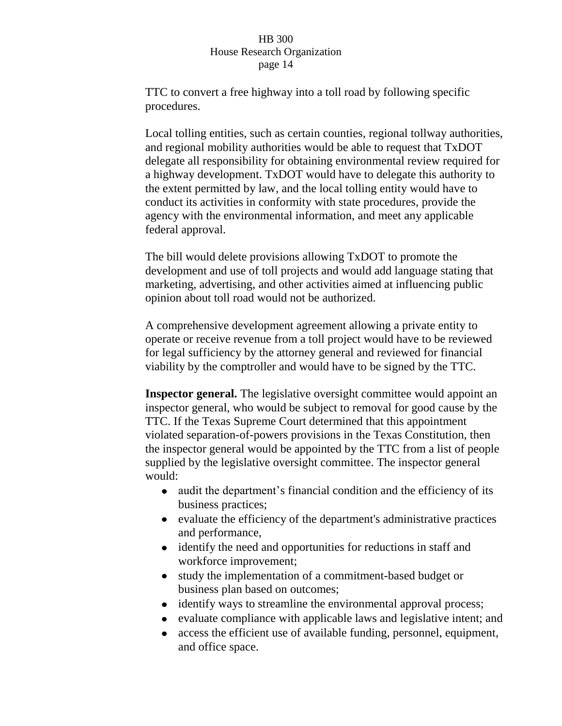TTC to convert a free highway into a toll road by following specific procedures.

Local tolling entities, such as certain counties, regional tollway authorities, and regional mobility authorities would be able to request that TxDOT delegate all responsibility for obtaining environmental review required for a highway development. TxDOT would have to delegate this authority to the extent permitted by law, and the local tolling entity would have to conduct its activities in conformity with state procedures, provide the agency with the environmental information, and meet any applicable federal approval.

The bill would delete provisions allowing TxDOT to promote the development and use of toll projects and would add language stating that marketing, advertising, and other activities aimed at influencing public opinion about toll road would not be authorized.

A comprehensive development agreement allowing a private entity to operate or receive revenue from a toll project would have to be reviewed for legal sufficiency by the attorney general and reviewed for financial viability by the comptroller and would have to be signed by the TTC.

**Inspector general.** The legislative oversight committee would appoint an inspector general, who would be subject to removal for good cause by the TTC. If the Texas Supreme Court determined that this appointment violated separation-of-powers provisions in the Texas Constitution, then the inspector general would be appointed by the TTC from a list of people supplied by the legislative oversight committee. The inspector general would:

- audit the department's financial condition and the efficiency of its business practices;
- evaluate the efficiency of the department's administrative practices and performance,
- $\bullet$ identify the need and opportunities for reductions in staff and workforce improvement;
- study the implementation of a commitment-based budget or business plan based on outcomes;
- identify ways to streamline the environmental approval process;  $\bullet$
- evaluate compliance with applicable laws and legislative intent; and
- access the efficient use of available funding, personnel, equipment,  $\bullet$ and office space.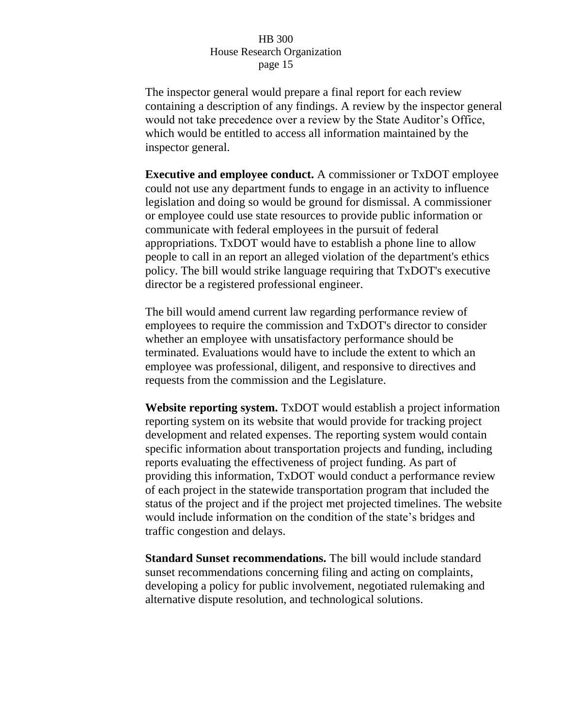The inspector general would prepare a final report for each review containing a description of any findings. A review by the inspector general would not take precedence over a review by the State Auditor's Office, which would be entitled to access all information maintained by the inspector general.

**Executive and employee conduct.** A commissioner or TxDOT employee could not use any department funds to engage in an activity to influence legislation and doing so would be ground for dismissal. A commissioner or employee could use state resources to provide public information or communicate with federal employees in the pursuit of federal appropriations. TxDOT would have to establish a phone line to allow people to call in an report an alleged violation of the department's ethics policy. The bill would strike language requiring that TxDOT's executive director be a registered professional engineer.

The bill would amend current law regarding performance review of employees to require the commission and TxDOT's director to consider whether an employee with unsatisfactory performance should be terminated. Evaluations would have to include the extent to which an employee was professional, diligent, and responsive to directives and requests from the commission and the Legislature.

**Website reporting system.** TxDOT would establish a project information reporting system on its website that would provide for tracking project development and related expenses. The reporting system would contain specific information about transportation projects and funding, including reports evaluating the effectiveness of project funding. As part of providing this information, TxDOT would conduct a performance review of each project in the statewide transportation program that included the status of the project and if the project met projected timelines. The website would include information on the condition of the state's bridges and traffic congestion and delays.

**Standard Sunset recommendations.** The bill would include standard sunset recommendations concerning filing and acting on complaints, developing a policy for public involvement, negotiated rulemaking and alternative dispute resolution, and technological solutions.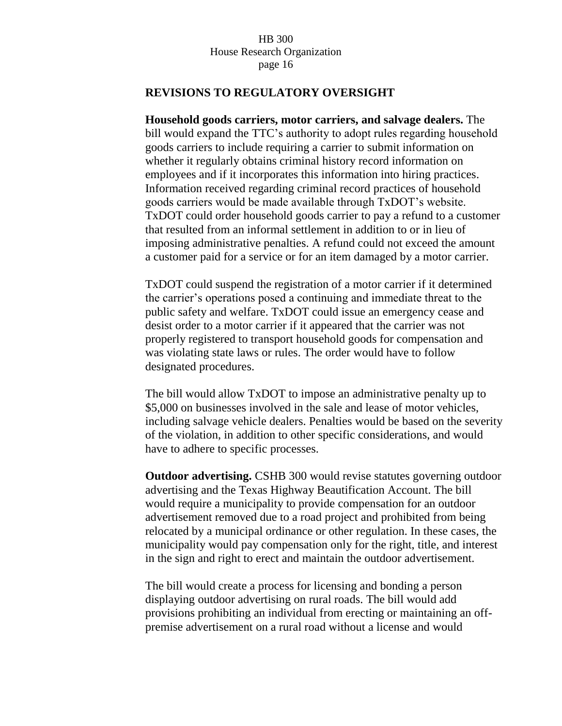## **REVISIONS TO REGULATORY OVERSIGHT**

**Household goods carriers, motor carriers, and salvage dealers.** The bill would expand the TTC's authority to adopt rules regarding household goods carriers to include requiring a carrier to submit information on whether it regularly obtains criminal history record information on employees and if it incorporates this information into hiring practices. Information received regarding criminal record practices of household goods carriers would be made available through TxDOT's website. TxDOT could order household goods carrier to pay a refund to a customer that resulted from an informal settlement in addition to or in lieu of imposing administrative penalties. A refund could not exceed the amount a customer paid for a service or for an item damaged by a motor carrier.

TxDOT could suspend the registration of a motor carrier if it determined the carrier's operations posed a continuing and immediate threat to the public safety and welfare. TxDOT could issue an emergency cease and desist order to a motor carrier if it appeared that the carrier was not properly registered to transport household goods for compensation and was violating state laws or rules. The order would have to follow designated procedures.

The bill would allow TxDOT to impose an administrative penalty up to \$5,000 on businesses involved in the sale and lease of motor vehicles, including salvage vehicle dealers. Penalties would be based on the severity of the violation, in addition to other specific considerations, and would have to adhere to specific processes.

**Outdoor advertising.** CSHB 300 would revise statutes governing outdoor advertising and the Texas Highway Beautification Account. The bill would require a municipality to provide compensation for an outdoor advertisement removed due to a road project and prohibited from being relocated by a municipal ordinance or other regulation. In these cases, the municipality would pay compensation only for the right, title, and interest in the sign and right to erect and maintain the outdoor advertisement.

The bill would create a process for licensing and bonding a person displaying outdoor advertising on rural roads. The bill would add provisions prohibiting an individual from erecting or maintaining an offpremise advertisement on a rural road without a license and would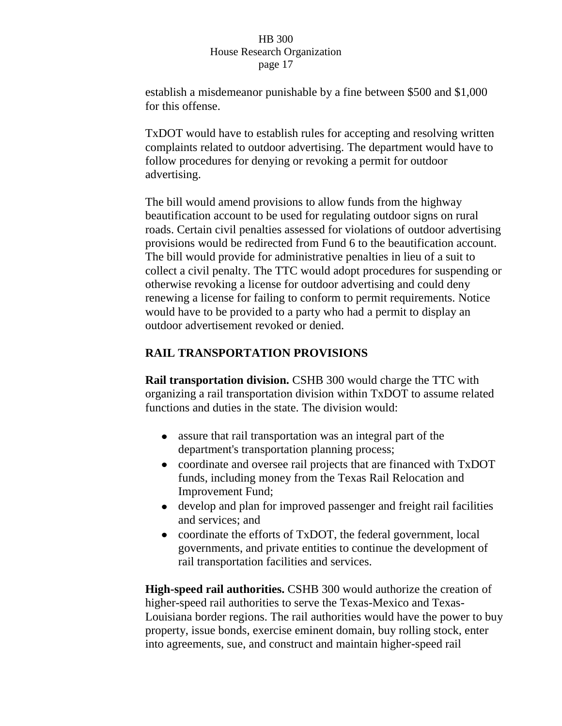establish a misdemeanor punishable by a fine between \$500 and \$1,000 for this offense.

TxDOT would have to establish rules for accepting and resolving written complaints related to outdoor advertising. The department would have to follow procedures for denying or revoking a permit for outdoor advertising.

The bill would amend provisions to allow funds from the highway beautification account to be used for regulating outdoor signs on rural roads. Certain civil penalties assessed for violations of outdoor advertising provisions would be redirected from Fund 6 to the beautification account. The bill would provide for administrative penalties in lieu of a suit to collect a civil penalty. The TTC would adopt procedures for suspending or otherwise revoking a license for outdoor advertising and could deny renewing a license for failing to conform to permit requirements. Notice would have to be provided to a party who had a permit to display an outdoor advertisement revoked or denied.

# **RAIL TRANSPORTATION PROVISIONS**

**Rail transportation division.** CSHB 300 would charge the TTC with organizing a rail transportation division within TxDOT to assume related functions and duties in the state. The division would:

- assure that rail transportation was an integral part of the department's transportation planning process;
- coordinate and oversee rail projects that are financed with TxDOT funds, including money from the Texas Rail Relocation and Improvement Fund;
- develop and plan for improved passenger and freight rail facilities and services; and
- coordinate the efforts of TxDOT, the federal government, local governments, and private entities to continue the development of rail transportation facilities and services.

**High-speed rail authorities.** CSHB 300 would authorize the creation of higher-speed rail authorities to serve the Texas-Mexico and Texas-Louisiana border regions. The rail authorities would have the power to buy property, issue bonds, exercise eminent domain, buy rolling stock, enter into agreements, sue, and construct and maintain higher-speed rail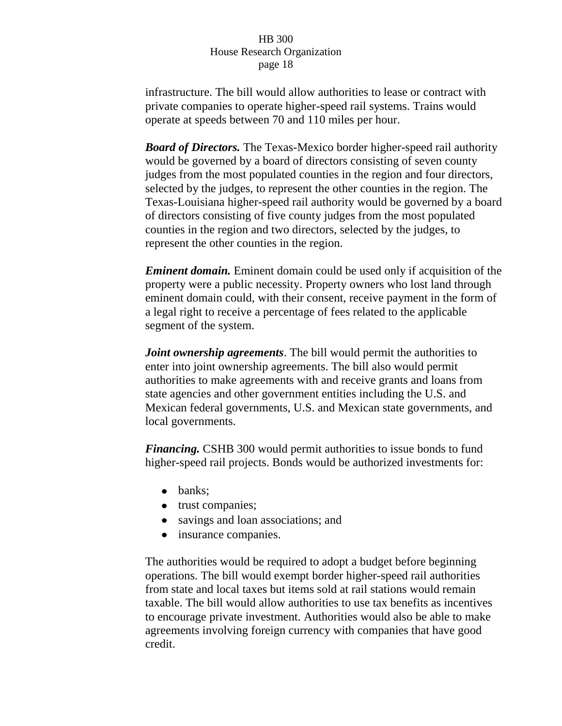infrastructure. The bill would allow authorities to lease or contract with private companies to operate higher-speed rail systems. Trains would operate at speeds between 70 and 110 miles per hour.

*Board of Directors.* The Texas-Mexico border higher-speed rail authority would be governed by a board of directors consisting of seven county judges from the most populated counties in the region and four directors, selected by the judges, to represent the other counties in the region. The Texas-Louisiana higher-speed rail authority would be governed by a board of directors consisting of five county judges from the most populated counties in the region and two directors, selected by the judges, to represent the other counties in the region.

*Eminent domain.* Eminent domain could be used only if acquisition of the property were a public necessity. Property owners who lost land through eminent domain could, with their consent, receive payment in the form of a legal right to receive a percentage of fees related to the applicable segment of the system.

*Joint ownership agreements*. The bill would permit the authorities to enter into joint ownership agreements. The bill also would permit authorities to make agreements with and receive grants and loans from state agencies and other government entities including the U.S. and Mexican federal governments, U.S. and Mexican state governments, and local governments.

*Financing.* CSHB 300 would permit authorities to issue bonds to fund higher-speed rail projects. Bonds would be authorized investments for:

- banks:
- trust companies;
- savings and loan associations; and
- insurance companies.

The authorities would be required to adopt a budget before beginning operations. The bill would exempt border higher-speed rail authorities from state and local taxes but items sold at rail stations would remain taxable. The bill would allow authorities to use tax benefits as incentives to encourage private investment. Authorities would also be able to make agreements involving foreign currency with companies that have good credit.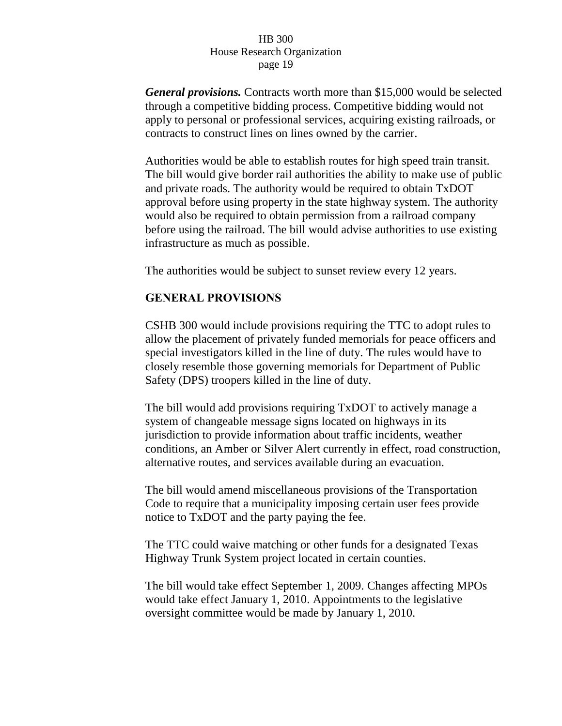*General provisions.* Contracts worth more than \$15,000 would be selected through a competitive bidding process. Competitive bidding would not apply to personal or professional services, acquiring existing railroads, or contracts to construct lines on lines owned by the carrier.

Authorities would be able to establish routes for high speed train transit. The bill would give border rail authorities the ability to make use of public and private roads. The authority would be required to obtain TxDOT approval before using property in the state highway system. The authority would also be required to obtain permission from a railroad company before using the railroad. The bill would advise authorities to use existing infrastructure as much as possible.

The authorities would be subject to sunset review every 12 years.

## **GENERAL PROVISIONS**

CSHB 300 would include provisions requiring the TTC to adopt rules to allow the placement of privately funded memorials for peace officers and special investigators killed in the line of duty. The rules would have to closely resemble those governing memorials for Department of Public Safety (DPS) troopers killed in the line of duty.

The bill would add provisions requiring TxDOT to actively manage a system of changeable message signs located on highways in its jurisdiction to provide information about traffic incidents, weather conditions, an Amber or Silver Alert currently in effect, road construction, alternative routes, and services available during an evacuation.

The bill would amend miscellaneous provisions of the Transportation Code to require that a municipality imposing certain user fees provide notice to TxDOT and the party paying the fee.

The TTC could waive matching or other funds for a designated Texas Highway Trunk System project located in certain counties.

The bill would take effect September 1, 2009. Changes affecting MPOs would take effect January 1, 2010. Appointments to the legislative oversight committee would be made by January 1, 2010.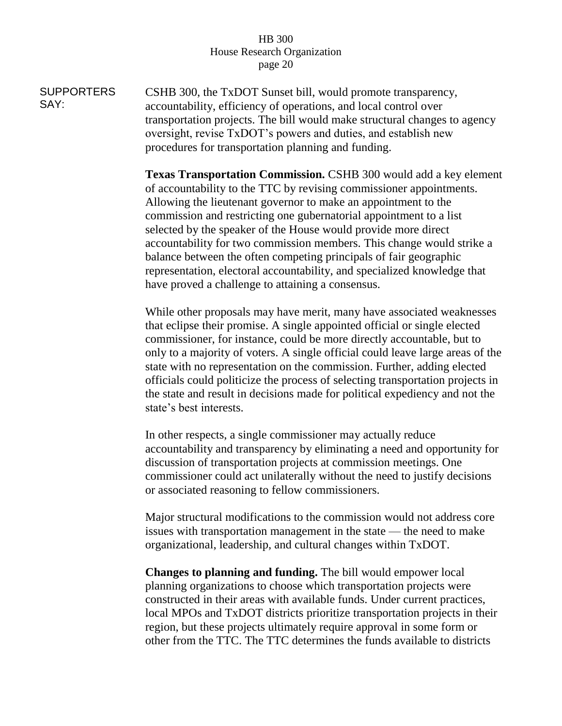**SUPPORTERS** SAY: CSHB 300, the TxDOT Sunset bill, would promote transparency, accountability, efficiency of operations, and local control over transportation projects. The bill would make structural changes to agency oversight, revise TxDOT's powers and duties, and establish new procedures for transportation planning and funding.

> **Texas Transportation Commission.** CSHB 300 would add a key element of accountability to the TTC by revising commissioner appointments. Allowing the lieutenant governor to make an appointment to the commission and restricting one gubernatorial appointment to a list selected by the speaker of the House would provide more direct accountability for two commission members. This change would strike a balance between the often competing principals of fair geographic representation, electoral accountability, and specialized knowledge that have proved a challenge to attaining a consensus.

> While other proposals may have merit, many have associated weaknesses that eclipse their promise. A single appointed official or single elected commissioner, for instance, could be more directly accountable, but to only to a majority of voters. A single official could leave large areas of the state with no representation on the commission. Further, adding elected officials could politicize the process of selecting transportation projects in the state and result in decisions made for political expediency and not the state's best interests.

> In other respects, a single commissioner may actually reduce accountability and transparency by eliminating a need and opportunity for discussion of transportation projects at commission meetings. One commissioner could act unilaterally without the need to justify decisions or associated reasoning to fellow commissioners.

> Major structural modifications to the commission would not address core issues with transportation management in the state — the need to make organizational, leadership, and cultural changes within TxDOT.

> **Changes to planning and funding.** The bill would empower local planning organizations to choose which transportation projects were constructed in their areas with available funds. Under current practices, local MPOs and TxDOT districts prioritize transportation projects in their region, but these projects ultimately require approval in some form or other from the TTC. The TTC determines the funds available to districts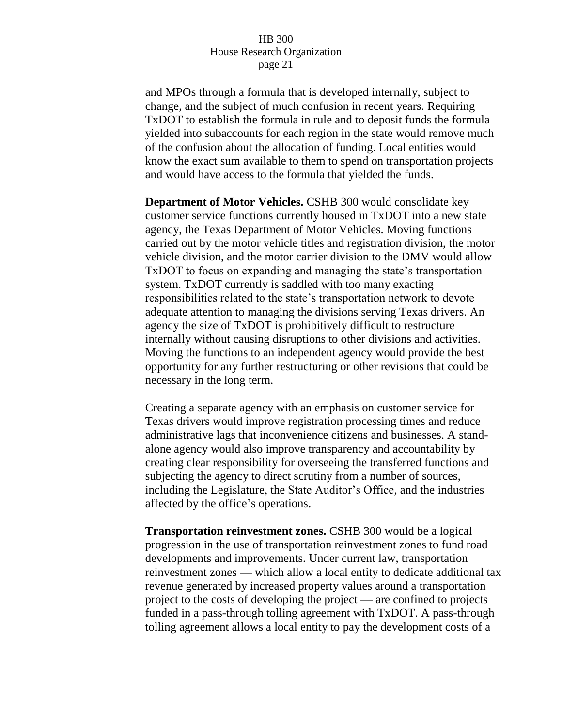and MPOs through a formula that is developed internally, subject to change, and the subject of much confusion in recent years. Requiring TxDOT to establish the formula in rule and to deposit funds the formula yielded into subaccounts for each region in the state would remove much of the confusion about the allocation of funding. Local entities would know the exact sum available to them to spend on transportation projects and would have access to the formula that yielded the funds.

**Department of Motor Vehicles.** CSHB 300 would consolidate key customer service functions currently housed in TxDOT into a new state agency, the Texas Department of Motor Vehicles. Moving functions carried out by the motor vehicle titles and registration division, the motor vehicle division, and the motor carrier division to the DMV would allow TxDOT to focus on expanding and managing the state's transportation system. TxDOT currently is saddled with too many exacting responsibilities related to the state's transportation network to devote adequate attention to managing the divisions serving Texas drivers. An agency the size of TxDOT is prohibitively difficult to restructure internally without causing disruptions to other divisions and activities. Moving the functions to an independent agency would provide the best opportunity for any further restructuring or other revisions that could be necessary in the long term.

Creating a separate agency with an emphasis on customer service for Texas drivers would improve registration processing times and reduce administrative lags that inconvenience citizens and businesses. A standalone agency would also improve transparency and accountability by creating clear responsibility for overseeing the transferred functions and subjecting the agency to direct scrutiny from a number of sources, including the Legislature, the State Auditor's Office, and the industries affected by the office's operations.

**Transportation reinvestment zones.** CSHB 300 would be a logical progression in the use of transportation reinvestment zones to fund road developments and improvements. Under current law, transportation reinvestment zones — which allow a local entity to dedicate additional tax revenue generated by increased property values around a transportation project to the costs of developing the project — are confined to projects funded in a pass-through tolling agreement with TxDOT. A pass-through tolling agreement allows a local entity to pay the development costs of a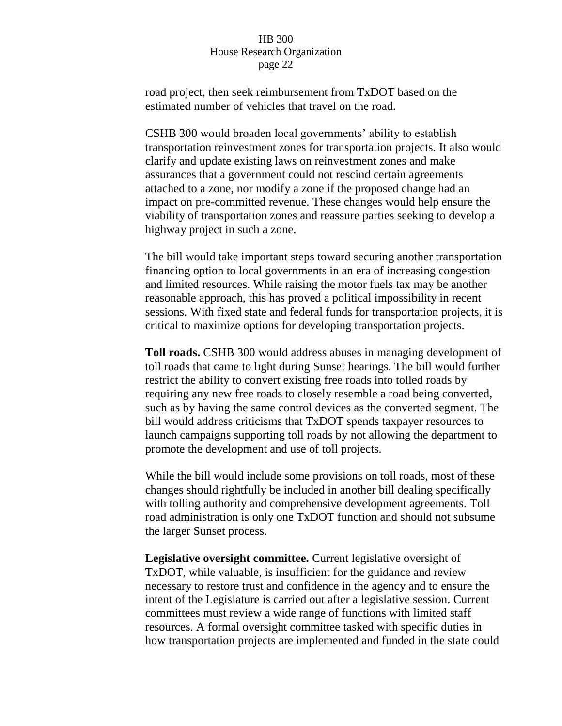road project, then seek reimbursement from TxDOT based on the estimated number of vehicles that travel on the road.

CSHB 300 would broaden local governments' ability to establish transportation reinvestment zones for transportation projects. It also would clarify and update existing laws on reinvestment zones and make assurances that a government could not rescind certain agreements attached to a zone, nor modify a zone if the proposed change had an impact on pre-committed revenue. These changes would help ensure the viability of transportation zones and reassure parties seeking to develop a highway project in such a zone.

The bill would take important steps toward securing another transportation financing option to local governments in an era of increasing congestion and limited resources. While raising the motor fuels tax may be another reasonable approach, this has proved a political impossibility in recent sessions. With fixed state and federal funds for transportation projects, it is critical to maximize options for developing transportation projects.

**Toll roads.** CSHB 300 would address abuses in managing development of toll roads that came to light during Sunset hearings. The bill would further restrict the ability to convert existing free roads into tolled roads by requiring any new free roads to closely resemble a road being converted, such as by having the same control devices as the converted segment. The bill would address criticisms that TxDOT spends taxpayer resources to launch campaigns supporting toll roads by not allowing the department to promote the development and use of toll projects.

While the bill would include some provisions on toll roads, most of these changes should rightfully be included in another bill dealing specifically with tolling authority and comprehensive development agreements. Toll road administration is only one TxDOT function and should not subsume the larger Sunset process.

**Legislative oversight committee.** Current legislative oversight of TxDOT, while valuable, is insufficient for the guidance and review necessary to restore trust and confidence in the agency and to ensure the intent of the Legislature is carried out after a legislative session. Current committees must review a wide range of functions with limited staff resources. A formal oversight committee tasked with specific duties in how transportation projects are implemented and funded in the state could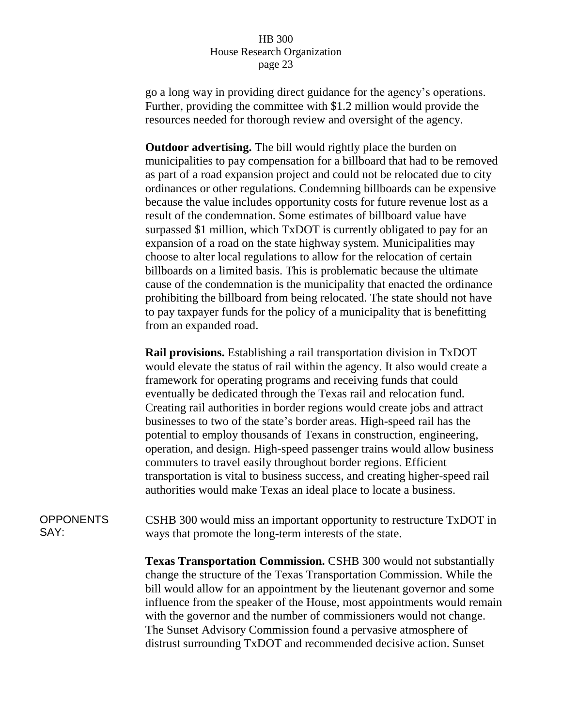go a long way in providing direct guidance for the agency's operations. Further, providing the committee with \$1.2 million would provide the resources needed for thorough review and oversight of the agency.

**Outdoor advertising.** The bill would rightly place the burden on municipalities to pay compensation for a billboard that had to be removed as part of a road expansion project and could not be relocated due to city ordinances or other regulations. Condemning billboards can be expensive because the value includes opportunity costs for future revenue lost as a result of the condemnation. Some estimates of billboard value have surpassed \$1 million, which TxDOT is currently obligated to pay for an expansion of a road on the state highway system. Municipalities may choose to alter local regulations to allow for the relocation of certain billboards on a limited basis. This is problematic because the ultimate cause of the condemnation is the municipality that enacted the ordinance prohibiting the billboard from being relocated. The state should not have to pay taxpayer funds for the policy of a municipality that is benefitting from an expanded road.

**Rail provisions.** Establishing a rail transportation division in TxDOT would elevate the status of rail within the agency. It also would create a framework for operating programs and receiving funds that could eventually be dedicated through the Texas rail and relocation fund. Creating rail authorities in border regions would create jobs and attract businesses to two of the state's border areas. High-speed rail has the potential to employ thousands of Texans in construction, engineering, operation, and design. High-speed passenger trains would allow business commuters to travel easily throughout border regions. Efficient transportation is vital to business success, and creating higher-speed rail authorities would make Texas an ideal place to locate a business.

**OPPONENTS** SAY:

CSHB 300 would miss an important opportunity to restructure TxDOT in ways that promote the long-term interests of the state.

**Texas Transportation Commission.** CSHB 300 would not substantially change the structure of the Texas Transportation Commission. While the bill would allow for an appointment by the lieutenant governor and some influence from the speaker of the House, most appointments would remain with the governor and the number of commissioners would not change. The Sunset Advisory Commission found a pervasive atmosphere of distrust surrounding TxDOT and recommended decisive action. Sunset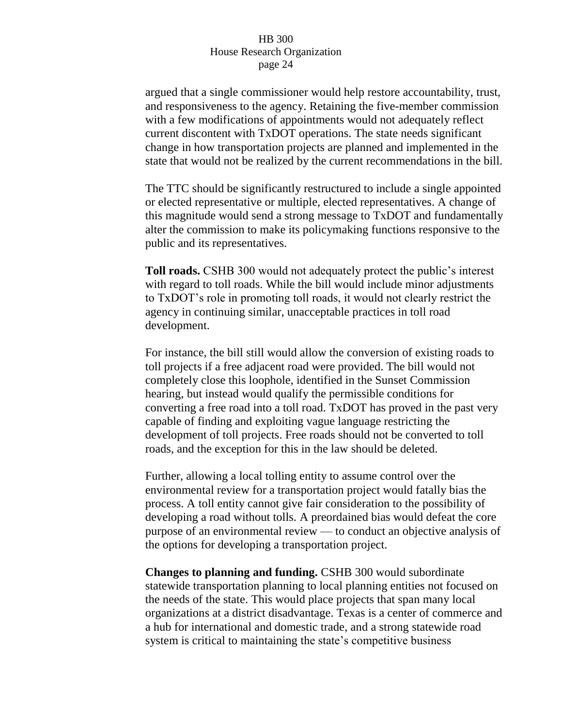argued that a single commissioner would help restore accountability, trust, and responsiveness to the agency. Retaining the five-member commission with a few modifications of appointments would not adequately reflect current discontent with TxDOT operations. The state needs significant change in how transportation projects are planned and implemented in the state that would not be realized by the current recommendations in the bill.

The TTC should be significantly restructured to include a single appointed or elected representative or multiple, elected representatives. A change of this magnitude would send a strong message to TxDOT and fundamentally alter the commission to make its policymaking functions responsive to the public and its representatives.

**Toll roads.** CSHB 300 would not adequately protect the public's interest with regard to toll roads. While the bill would include minor adjustments to TxDOT's role in promoting toll roads, it would not clearly restrict the agency in continuing similar, unacceptable practices in toll road development.

For instance, the bill still would allow the conversion of existing roads to toll projects if a free adjacent road were provided. The bill would not completely close this loophole, identified in the Sunset Commission hearing, but instead would qualify the permissible conditions for converting a free road into a toll road. TxDOT has proved in the past very capable of finding and exploiting vague language restricting the development of toll projects. Free roads should not be converted to toll roads, and the exception for this in the law should be deleted.

Further, allowing a local tolling entity to assume control over the environmental review for a transportation project would fatally bias the process. A toll entity cannot give fair consideration to the possibility of developing a road without tolls. A preordained bias would defeat the core purpose of an environmental review — to conduct an objective analysis of the options for developing a transportation project.

**Changes to planning and funding.** CSHB 300 would subordinate statewide transportation planning to local planning entities not focused on the needs of the state. This would place projects that span many local organizations at a district disadvantage. Texas is a center of commerce and a hub for international and domestic trade, and a strong statewide road system is critical to maintaining the state's competitive business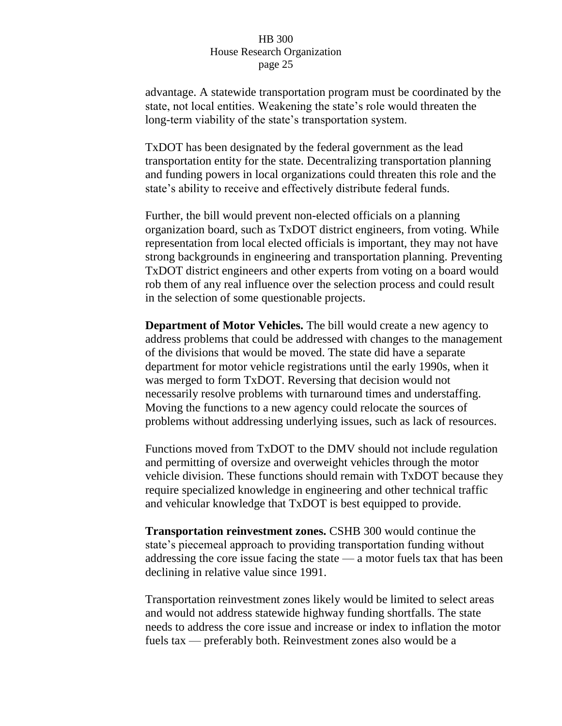advantage. A statewide transportation program must be coordinated by the state, not local entities. Weakening the state's role would threaten the long-term viability of the state's transportation system.

TxDOT has been designated by the federal government as the lead transportation entity for the state. Decentralizing transportation planning and funding powers in local organizations could threaten this role and the state's ability to receive and effectively distribute federal funds.

Further, the bill would prevent non-elected officials on a planning organization board, such as TxDOT district engineers, from voting. While representation from local elected officials is important, they may not have strong backgrounds in engineering and transportation planning. Preventing TxDOT district engineers and other experts from voting on a board would rob them of any real influence over the selection process and could result in the selection of some questionable projects.

**Department of Motor Vehicles.** The bill would create a new agency to address problems that could be addressed with changes to the management of the divisions that would be moved. The state did have a separate department for motor vehicle registrations until the early 1990s, when it was merged to form TxDOT. Reversing that decision would not necessarily resolve problems with turnaround times and understaffing. Moving the functions to a new agency could relocate the sources of problems without addressing underlying issues, such as lack of resources.

Functions moved from TxDOT to the DMV should not include regulation and permitting of oversize and overweight vehicles through the motor vehicle division. These functions should remain with TxDOT because they require specialized knowledge in engineering and other technical traffic and vehicular knowledge that TxDOT is best equipped to provide.

**Transportation reinvestment zones.** CSHB 300 would continue the state's piecemeal approach to providing transportation funding without addressing the core issue facing the state — a motor fuels tax that has been declining in relative value since 1991.

Transportation reinvestment zones likely would be limited to select areas and would not address statewide highway funding shortfalls. The state needs to address the core issue and increase or index to inflation the motor fuels tax — preferably both. Reinvestment zones also would be a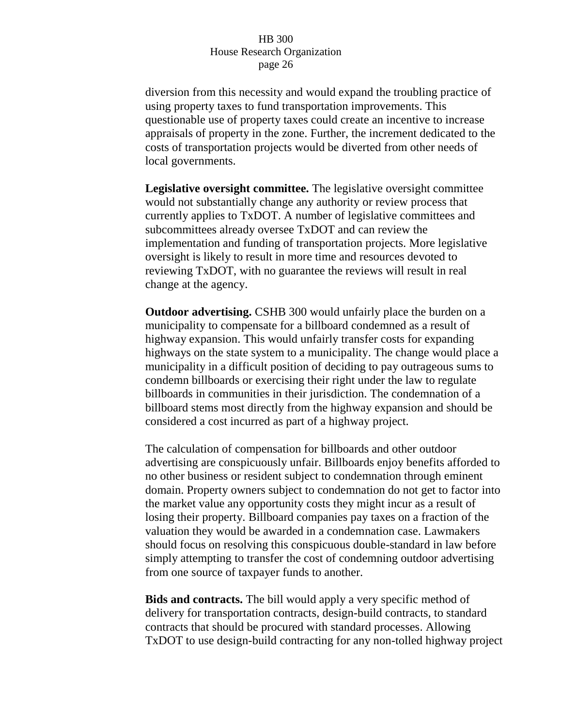diversion from this necessity and would expand the troubling practice of using property taxes to fund transportation improvements. This questionable use of property taxes could create an incentive to increase appraisals of property in the zone. Further, the increment dedicated to the costs of transportation projects would be diverted from other needs of local governments.

**Legislative oversight committee.** The legislative oversight committee would not substantially change any authority or review process that currently applies to TxDOT. A number of legislative committees and subcommittees already oversee TxDOT and can review the implementation and funding of transportation projects. More legislative oversight is likely to result in more time and resources devoted to reviewing TxDOT, with no guarantee the reviews will result in real change at the agency.

**Outdoor advertising.** CSHB 300 would unfairly place the burden on a municipality to compensate for a billboard condemned as a result of highway expansion. This would unfairly transfer costs for expanding highways on the state system to a municipality. The change would place a municipality in a difficult position of deciding to pay outrageous sums to condemn billboards or exercising their right under the law to regulate billboards in communities in their jurisdiction. The condemnation of a billboard stems most directly from the highway expansion and should be considered a cost incurred as part of a highway project.

The calculation of compensation for billboards and other outdoor advertising are conspicuously unfair. Billboards enjoy benefits afforded to no other business or resident subject to condemnation through eminent domain. Property owners subject to condemnation do not get to factor into the market value any opportunity costs they might incur as a result of losing their property. Billboard companies pay taxes on a fraction of the valuation they would be awarded in a condemnation case. Lawmakers should focus on resolving this conspicuous double-standard in law before simply attempting to transfer the cost of condemning outdoor advertising from one source of taxpayer funds to another.

**Bids and contracts.** The bill would apply a very specific method of delivery for transportation contracts, design-build contracts, to standard contracts that should be procured with standard processes. Allowing TxDOT to use design-build contracting for any non-tolled highway project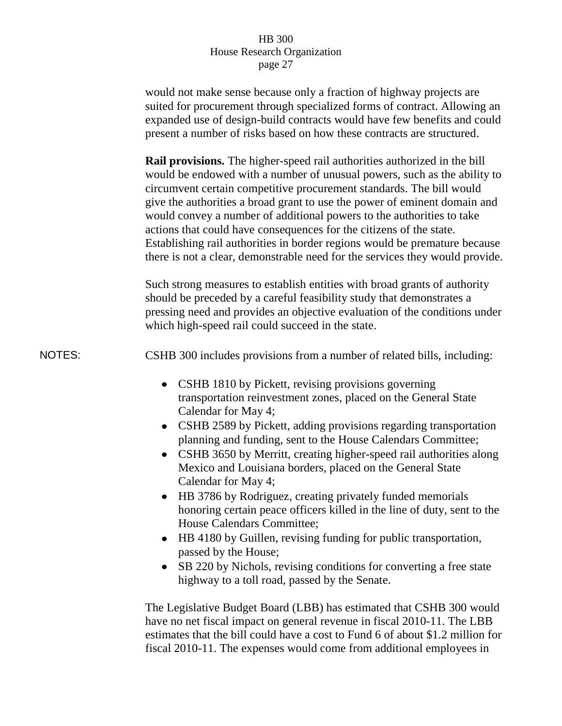|               | would not make sense because only a fraction of highway projects are<br>suited for procurement through specialized forms of contract. Allowing an<br>expanded use of design-build contracts would have few benefits and could<br>present a number of risks based on how these contracts are structured.                                                                                                                                                                                                                                                                                                                                                                                                                               |
|---------------|---------------------------------------------------------------------------------------------------------------------------------------------------------------------------------------------------------------------------------------------------------------------------------------------------------------------------------------------------------------------------------------------------------------------------------------------------------------------------------------------------------------------------------------------------------------------------------------------------------------------------------------------------------------------------------------------------------------------------------------|
|               | <b>Rail provisions.</b> The higher-speed rail authorities authorized in the bill<br>would be endowed with a number of unusual powers, such as the ability to<br>circumvent certain competitive procurement standards. The bill would<br>give the authorities a broad grant to use the power of eminent domain and<br>would convey a number of additional powers to the authorities to take<br>actions that could have consequences for the citizens of the state.<br>Establishing rail authorities in border regions would be premature because<br>there is not a clear, demonstrable need for the services they would provide.                                                                                                       |
|               | Such strong measures to establish entities with broad grants of authority<br>should be preceded by a careful feasibility study that demonstrates a<br>pressing need and provides an objective evaluation of the conditions under<br>which high-speed rail could succeed in the state.                                                                                                                                                                                                                                                                                                                                                                                                                                                 |
| <b>NOTES:</b> | CSHB 300 includes provisions from a number of related bills, including:                                                                                                                                                                                                                                                                                                                                                                                                                                                                                                                                                                                                                                                               |
|               | CSHB 1810 by Pickett, revising provisions governing<br>transportation reinvestment zones, placed on the General State<br>Calendar for May 4;<br>CSHB 2589 by Pickett, adding provisions regarding transportation<br>$\bullet$<br>planning and funding, sent to the House Calendars Committee;<br>CSHB 3650 by Merritt, creating higher-speed rail authorities along<br>Mexico and Louisiana borders, placed on the General State<br>Calendar for May 4;<br>HB 3786 by Rodriguez, creating privately funded memorials<br>$\bullet$<br>honoring certain peace officers killed in the line of duty, sent to the<br>House Calendars Committee;<br>HB 4180 by Guillen, revising funding for public transportation,<br>passed by the House; |
|               | SB 220 by Nichols, revising conditions for converting a free state<br>٠<br>highway to a toll road, passed by the Senate.                                                                                                                                                                                                                                                                                                                                                                                                                                                                                                                                                                                                              |
|               | The Legislative Budget Board (LBB) has estimated that CSHB 300 would<br>have no net fiscal impact on general revenue in fiscal 2010-11. The LBB<br>estimates that the bill could have a cost to Fund 6 of about \$1.2 million for                                                                                                                                                                                                                                                                                                                                                                                                                                                                                                     |

fiscal 2010-11. The expenses would come from additional employees in